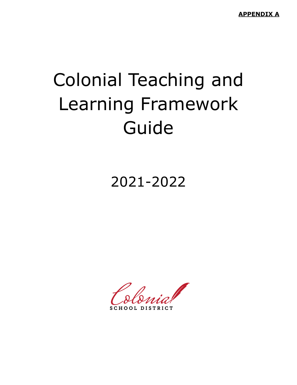**APPENDIX A**

# Colonial Teaching and Learning Framework Guide

2021-2022

**DISTRICT**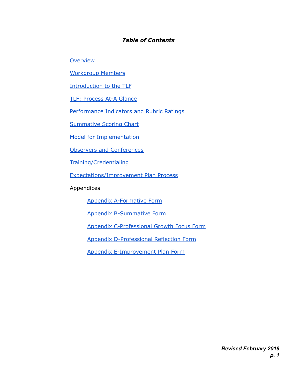#### *Table of Contents*

**[Overview](#page-2-0)** 

[Workgroup](#page-3-0) Members

[Introduction](#page-4-0) to the TLF

TLF: [Process](#page-5-0) At-A Glance

[Performance](#page-11-0) Indicators and Rubric Ratings

[Summative](#page-19-0) Scoring Chart

Model for [Implementation](#page-20-0)

Observers and [Conferences](#page-21-0)

[Training/Credentialing](#page-23-0)

[Expectations/Improvement](#page-25-0) Plan Process

Appendices

Appendix [A-Formative](#page-28-0) Form

Appendix [B-Summative](#page-33-0) Form

Appendix [C-Professional](#page-39-0) Growth Focus Form

Appendix [D-Professional](#page-40-0) Reflection Form

Appendix [E-Improvement](#page-41-0) Plan Form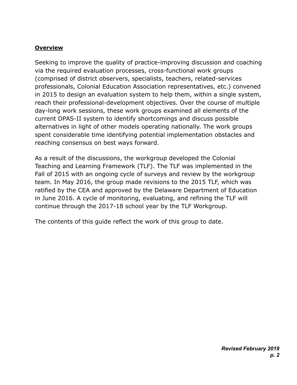## <span id="page-2-0"></span>**Overview**

Seeking to improve the quality of practice-improving discussion and coaching via the required evaluation processes, cross-functional work groups (comprised of district observers, specialists, teachers, related-services professionals, Colonial Education Association representatives, etc.) convened in 2015 to design an evaluation system to help them, within a single system, reach their professional-development objectives. Over the course of multiple day-long work sessions, these work groups examined all elements of the current DPAS-II system to identify shortcomings and discuss possible alternatives in light of other models operating nationally. The work groups spent considerable time identifying potential implementation obstacles and reaching consensus on best ways forward.

As a result of the discussions, the workgroup developed the Colonial Teaching and Learning Framework (TLF). The TLF was implemented in the Fall of 2015 with an ongoing cycle of surveys and review by the workgroup team. In May 2016, the group made revisions to the 2015 TLF, which was ratified by the CEA and approved by the Delaware Department of Education in June 2016. A cycle of monitoring, evaluating, and refining the TLF will continue through the 2017-18 school year by the TLF Workgroup.

The contents of this guide reflect the work of this group to date.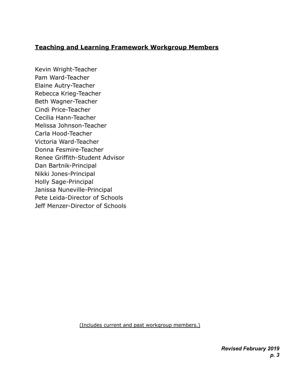# <span id="page-3-0"></span>**Teaching and Learning Framework Workgroup Members**

Kevin Wright-Teacher Pam Ward-Teacher Elaine Autry-Teacher Rebecca Krieg-Teacher Beth Wagner-Teacher Cindi Price-Teacher Cecilia Hann-Teacher Melissa Johnson-Teacher Carla Hood-Teacher Victoria Ward-Teacher Donna Fesmire-Teacher Renee Griffith-Student Advisor Dan Bartnik-Principal Nikki Jones-Principal Holly Sage-Principal Janissa Nuneville-Principal Pete Leida-Director of Schools Jeff Menzer-Director of Schools

(Includes current and past workgroup members.)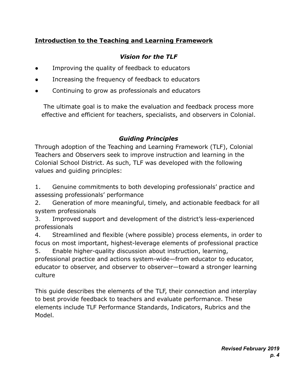# <span id="page-4-0"></span>**Introduction to the Teaching and Learning Framework**

# *Vision for the TLF*

- Improving the quality of feedback to educators
- Increasing the frequency of feedback to educators
- Continuing to grow as professionals and educators

The ultimate goal is to make the evaluation and feedback process more effective and efficient for teachers, specialists, and observers in Colonial.

# *Guiding Principles*

Through adoption of the Teaching and Learning Framework (TLF), Colonial Teachers and Observers seek to improve instruction and learning in the Colonial School District. As such, TLF was developed with the following values and guiding principles:

1. Genuine commitments to both developing professionals' practice and assessing professionals' performance

2. Generation of more meaningful, timely, and actionable feedback for all system professionals

3. Improved support and development of the district's less-experienced professionals

4. Streamlined and flexible (where possible) process elements, in order to focus on most important, highest-leverage elements of professional practice

5. Enable higher-quality discussion about instruction, learning, professional practice and actions system-wide—from educator to educator, educator to observer, and observer to observer—toward a stronger learning culture

This guide describes the elements of the TLF, their connection and interplay to best provide feedback to teachers and evaluate performance. These elements include TLF Performance Standards, Indicators, Rubrics and the Model.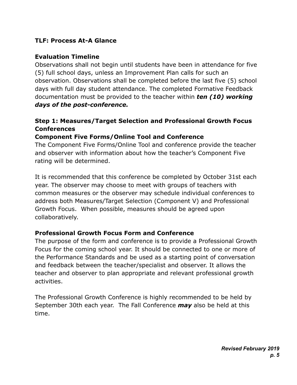# <span id="page-5-0"></span>**TLF: Process At-A Glance**

## **Evaluation Timeline**

Observations shall not begin until students have been in attendance for five (5) full school days, unless an Improvement Plan calls for such an observation. Observations shall be completed before the last five (5) school days with full day student attendance. The completed Formative Feedback documentation must be provided to the teacher within *ten (10) working days of the post-conference.*

# **Step 1: Measures/Target Selection and Professional Growth Focus Conferences**

# **Component Five Forms/Online Tool and Conference**

The Component Five Forms/Online Tool and conference provide the teacher and observer with information about how the teacher's Component Five rating will be determined.

It is recommended that this conference be completed by October 31st each year. The observer may choose to meet with groups of teachers with common measures or the observer may schedule individual conferences to address both Measures/Target Selection (Component V) and Professional Growth Focus. When possible, measures should be agreed upon collaboratively.

## **Professional Growth Focus Form and Conference**

The purpose of the form and conference is to provide a Professional Growth Focus for the coming school year. It should be connected to one or more of the Performance Standards and be used as a starting point of conversation and feedback between the teacher/specialist and observer. It allows the teacher and observer to plan appropriate and relevant professional growth activities.

The Professional Growth Conference is highly recommended to be held by September 30th each year. The Fall Conference *may* also be held at this time.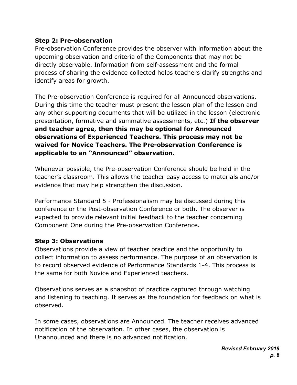# **Step 2: Pre-observation**

Pre-observation Conference provides the observer with information about the upcoming observation and criteria of the Components that may not be directly observable. Information from self-assessment and the formal process of sharing the evidence collected helps teachers clarify strengths and identify areas for growth.

The Pre-observation Conference is required for all Announced observations. During this time the teacher must present the lesson plan of the lesson and any other supporting documents that will be utilized in the lesson (electronic presentation, formative and summative assessments, etc.) **If the observer and teacher agree, then this may be optional for Announced observations of Experienced Teachers. This process may not be waived for Novice Teachers. The Pre-observation Conference is applicable to an "Announced" observation.**

Whenever possible, the Pre-observation Conference should be held in the teacher's classroom. This allows the teacher easy access to materials and/or evidence that may help strengthen the discussion.

Performance Standard 5 - Professionalism may be discussed during this conference or the Post-observation Conference or both. The observer is expected to provide relevant initial feedback to the teacher concerning Component One during the Pre-observation Conference.

# **Step 3: Observations**

Observations provide a view of teacher practice and the opportunity to collect information to assess performance. The purpose of an observation is to record observed evidence of Performance Standards 1-4. This process is the same for both Novice and Experienced teachers.

Observations serves as a snapshot of practice captured through watching and listening to teaching. It serves as the foundation for feedback on what is observed.

In some cases, observations are Announced. The teacher receives advanced notification of the observation. In other cases, the observation is Unannounced and there is no advanced notification.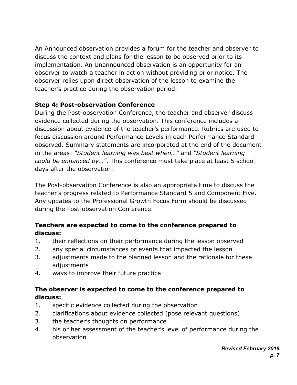An Announced observation provides a forum for the teacher and observer to discuss the context and plans for the lesson to be observed prior to its implementation. An Unannounced observation is an opportunity for an observer to watch a teacher in action without providing prior notice. The observer relies upon direct observation of the lesson to examine the teacher's practice during the observation period.

# **Step 4: Post-observation Conference**

During the Post-observation Conference, the teacher and observer discuss evidence collected during the observation. This conference includes a discussion about evidence of the teacher's performance. Rubrics are used to focus discussion around Performance Levels in each Performance Standard observed. Summary statements are incorporated at the end of the document in the areas: *"Student learning was best when…"* and *"Student learning could be enhanced by…"*. This conference must take place at least 5 school days after the observation.

The Post-observation Conference is also an appropriate time to discuss the teacher's progress related to Performance Standard 5 and Component Five. Any updates to the Professional Growth Focus Form should be discussed during the Post-observation Conference.

# **Teachers are expected to come to the conference prepared to discuss:**

- 1. their reflections on their performance during the lesson observed
- 2. any special circumstances or events that impacted the lesson
- 3. adjustments made to the planned lesson and the rationale for these adjustments
- 4. ways to improve their future practice

# **The observer is expected to come to the conference prepared to discuss:**

- 1. specific evidence collected during the observation
- 2. clarifications about evidence collected (pose relevant questions)
- 3. the teacher's thoughts on performance
- 4. his or her assessment of the teacher's level of performance during the observation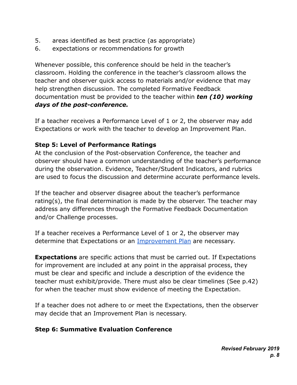- 5. areas identified as best practice (as appropriate)
- 6. expectations or recommendations for growth

Whenever possible, this conference should be held in the teacher's classroom. Holding the conference in the teacher's classroom allows the teacher and observer quick access to materials and/or evidence that may help strengthen discussion. The completed Formative Feedback documentation must be provided to the teacher within *ten (10) working days of the post-conference.*

If a teacher receives a Performance Level of 1 or 2, the observer may add Expectations or work with the teacher to develop an Improvement Plan.

# **Step 5: Level of Performance Ratings**

At the conclusion of the Post-observation Conference, the teacher and observer should have a common understanding of the teacher's performance during the observation. Evidence, Teacher/Student Indicators, and rubrics are used to focus the discussion and determine accurate performance levels.

If the teacher and observer disagree about the teacher's performance rating(s), the final determination is made by the observer. The teacher may address any differences through the Formative Feedback Documentation and/or Challenge processes.

If a teacher receives a Performance Level of 1 or 2, the observer may determine that Expectations or an [Improvement Plan](#page-25-0) are necessary.

**Expectations** are specific actions that must be carried out. If Expectations for improvement are included at any point in the appraisal process, they must be clear and specific and include a description of the evidence the teacher must exhibit/provide. There must also be clear timelines (See p.42) for when the teacher must show evidence of meeting the Expectation.

If a teacher does not adhere to or meet the Expectations, then the observer may decide that an Improvement Plan is necessary.

# **Step 6: Summative Evaluation Conference**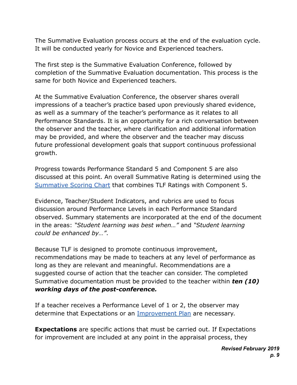The Summative Evaluation process occurs at the end of the evaluation cycle. It will be conducted yearly for Novice and Experienced teachers.

The first step is the Summative Evaluation Conference, followed by completion of the Summative Evaluation documentation. This process is the same for both Novice and Experienced teachers.

At the Summative Evaluation Conference, the observer shares overall impressions of a teacher's practice based upon previously shared evidence, as well as a summary of the teacher's performance as it relates to all Performance Standards. It is an opportunity for a rich conversation between the observer and the teacher, where clarification and additional information may be provided, and where the observer and the teacher may discuss future professional development goals that support continuous professional growth.

Progress towards Performance Standard 5 and Component 5 are also discussed at this point. An overall Summative Rating is determined using the [Summative Scoring Chart](#page-19-0) that combines TLF Ratings with Component 5.

Evidence, Teacher/Student Indicators, and rubrics are used to focus discussion around Performance Levels in each Performance Standard observed. Summary statements are incorporated at the end of the document in the areas: *"Student learning was best when…"* and *"Student learning could be enhanced by…"*.

Because TLF is designed to promote continuous improvement, recommendations may be made to teachers at any level of performance as long as they are relevant and meaningful. Recommendations are a suggested course of action that the teacher can consider. The completed Summative documentation must be provided to the teacher within *ten (10) working days of the post-conference.*

If a teacher receives a Performance Level of 1 or 2, the observer may determine that Expectations or an [Improvement Plan](#page-25-0) are necessary.

**Expectations** are specific actions that must be carried out. If Expectations for improvement are included at any point in the appraisal process, they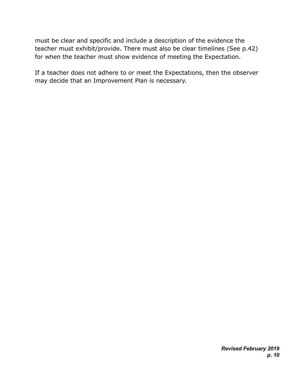must be clear and specific and include a description of the evidence the teacher must exhibit/provide. There must also be clear timelines (See p.42) for when the teacher must show evidence of meeting the Expectation.

If a teacher does not adhere to or meet the Expectations, then the observer may decide that an Improvement Plan is necessary.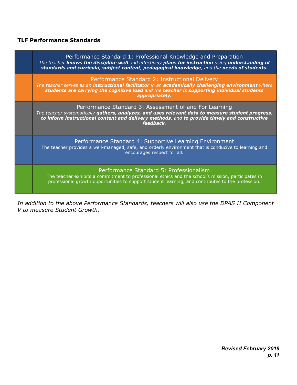#### <span id="page-11-0"></span>**TLF Performance Standards**

| Performance Standard 1: Professional Knowledge and Preparation<br>The teacher knows the discipline well and effectively plans for instruction using understanding of<br>standards and curricula, subject content, pedagogical knowledge, and the needs of students.      |
|--------------------------------------------------------------------------------------------------------------------------------------------------------------------------------------------------------------------------------------------------------------------------|
| Performance Standard 2: Instructional Delivery<br>The teacher serves as an instructional facilitator in an academically challenging environment where<br>students are carrying the cognitive load and the teacher is supporting individual students<br>appropriately.    |
| Performance Standard 3: Assessment of and For Learning<br>The teacher systematically gathers, analyzes, and uses relevant data to measure student progress,<br>to inform instructional content and delivery methods, and to provide timely and constructive<br>feedback. |
| Performance Standard 4: Supportive Learning Environment<br>The teacher provides a well-managed, safe, and orderly environment that is conducive to learning and<br>encourages respect for all.                                                                           |
| Performance Standard 5: Professionalism<br>The teacher exhibits a commitment to professional ethics and the school's mission, participates in<br>professional growth opportunities to support student learning, and contributes to the profession.                       |

*In addition to the above Performance Standards, teachers will also use the DPAS II Component V to measure Student Growth.*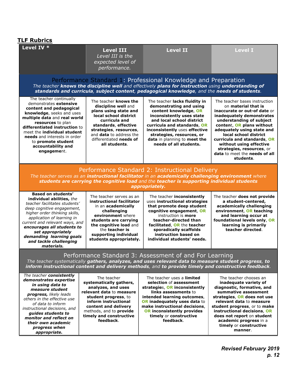| <b>TLF Rubrics</b>                                                                                                                                                                                                                                                                                                                            |                                                                                                                                                                                                                                                 |                                                                                                                                                                                                                                                                                                    |                                                                                                                                                                                                                                                                                                                                                                                      |  |  |
|-----------------------------------------------------------------------------------------------------------------------------------------------------------------------------------------------------------------------------------------------------------------------------------------------------------------------------------------------|-------------------------------------------------------------------------------------------------------------------------------------------------------------------------------------------------------------------------------------------------|----------------------------------------------------------------------------------------------------------------------------------------------------------------------------------------------------------------------------------------------------------------------------------------------------|--------------------------------------------------------------------------------------------------------------------------------------------------------------------------------------------------------------------------------------------------------------------------------------------------------------------------------------------------------------------------------------|--|--|
| Level IV *                                                                                                                                                                                                                                                                                                                                    | <b>Level III</b><br>Level III is the<br>expected level of<br>performance.                                                                                                                                                                       | <b>Level II</b>                                                                                                                                                                                                                                                                                    | <b>Level I</b>                                                                                                                                                                                                                                                                                                                                                                       |  |  |
|                                                                                                                                                                                                                                                                                                                                               |                                                                                                                                                                                                                                                 | Performance Standard 1: Professional Knowledge and Preparation<br>The teacher knows the discipline well and effectively plans for instruction using understanding of<br>standards and curricula, subject content, pedagogical knowledge, and the needs of students.                                |                                                                                                                                                                                                                                                                                                                                                                                      |  |  |
| The teacher continually<br>demonstrates extensive<br>content and pedagogical<br>knowledge, seeks and uses<br>multiple data and real world<br>resources to plan<br>differentiated instruction to<br>meet the <b>individual student</b><br><b>needs</b> and interests in order<br>to promote student<br>accountability and<br>engagement.       | The teacher knows the<br>discipline well and<br>plans using state and<br>local school district<br>curricula and<br>standards, effective<br>strategies, resources,<br>and <b>data</b> to address the<br>differentiated needs of<br>all students. | The teacher lacks fluidity in<br>demonstrating and using<br>content knowledge, OR<br>inconsistently uses state<br>and local school district<br>curricula and standards, OR<br>inconsistently uses effective<br>strategies, resources, or<br>data in planning to meet the<br>needs of all students. | The teacher bases instruction<br>on material that is<br>inaccurate or out-of date or<br>inadequately demonstrates<br>understanding of subject<br>content, OR plans without<br>adequately using state and<br>local school district<br>curricula and standards, OR<br>without using effective<br>strategies, resources, or<br><b>data</b> to meet the <b>needs of all</b><br>students. |  |  |
|                                                                                                                                                                                                                                                                                                                                               |                                                                                                                                                                                                                                                 | Performance Standard 2: Instructional Delivery<br>The teacher serves as an instructional facilitator in an academically challenging environment where<br>students are carrying the cognitive load and the teacher is supporting individual students<br>appropriately.                              |                                                                                                                                                                                                                                                                                                                                                                                      |  |  |
| <b>Based on students'</b><br>individual abilities, the<br>teacher facilitates students'<br>deep cognitive engagement,<br>higher order thinking skills,<br>application of learning in<br>current and relevant ways, and<br>encourages all students to<br>set appropriately<br>demanding learning goals<br>and tackle challenging<br>materials. | The teacher serves as an<br>instructional facilitator<br>in an academically<br>challenging<br>environment where<br>students are carrying<br>the cognitive load and<br>the <b>teacher</b> is<br>supporting individual<br>students appropriately. | The teacher inconsistently<br>uses instructional strategies<br>that promote deep student<br>cognitive engagement, OR<br>instruction is <b>more</b><br>teacher-directed than<br>facilitated, OR the teacher<br>sporadically scaffolds<br>instruction based on<br>individual students' needs.        | The teacher does not provide<br>a student-centered,<br>academically challenging<br>environment, OR teaching<br>and learning occur at<br>foundational levels only, OR<br>learning is primarily<br>teacher directed.                                                                                                                                                                   |  |  |
| Performance Standard 3: Assessment of and For Learning<br>The teacher systematically gathers, analyzes, and uses relevant data to measure student progress, to<br>inform instructional content and delivery methods, and to provide timely and constructive feedback.                                                                         |                                                                                                                                                                                                                                                 |                                                                                                                                                                                                                                                                                                    |                                                                                                                                                                                                                                                                                                                                                                                      |  |  |
| The teacher consistently<br>demonstrates expertise<br>in using data to<br>measure student<br>progress, likely leads<br>others in the effective use<br>of data to inform<br>instructional decisions, and<br>guides students to<br>monitor and reflect on<br>their own academic<br>progress when<br>appropriate.                                | The teacher<br>systematically gathers,<br>analyzes, and uses<br>relevant data to measure<br>student progress, to<br>inform instructional<br>content and delivery<br>methods, and to provide<br>timely and constructive<br>feedback.             | The teacher uses a limited<br>selection of assessment<br>strategies, OR inconsistently<br>links assessments to<br>intended learning outcomes,<br>OR inadequately uses data to<br>make instructional decisions,<br><b>OR inconsistently provides</b><br>timely or constructive<br>feedback.         | The teacher chooses an<br>inadequate variety of<br>diagnostic, formative, and<br>summative assessment<br>strategies, OR does not use<br>relevant data to measure<br>student progress, or to make<br>instructional decisions, OR<br>does not report on student<br>academic progress in a<br>timely or constructive<br>manner.                                                         |  |  |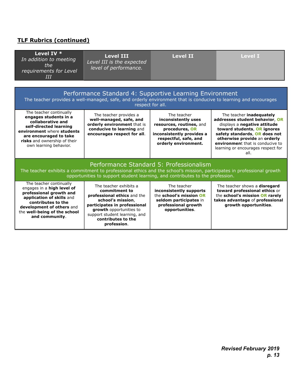## **TLF Rubrics (continued)**

| Level IV *<br>In addition to meeting<br>the<br>requirements for Level<br>III                                                                                                                                                                       | <b>Level III</b><br>Level II<br>Level III is the expected<br>level of performance.                                                                                                                                           |                                                                                                                                                                | <b>Level I</b>                                                                                                                                                                                                                                                                      |  |  |
|----------------------------------------------------------------------------------------------------------------------------------------------------------------------------------------------------------------------------------------------------|------------------------------------------------------------------------------------------------------------------------------------------------------------------------------------------------------------------------------|----------------------------------------------------------------------------------------------------------------------------------------------------------------|-------------------------------------------------------------------------------------------------------------------------------------------------------------------------------------------------------------------------------------------------------------------------------------|--|--|
|                                                                                                                                                                                                                                                    | Performance Standard 4: Supportive Learning Environment                                                                                                                                                                      | respect for all.                                                                                                                                               | The teacher provides a well-managed, safe, and orderly environment that is conducive to learning and encourages                                                                                                                                                                     |  |  |
| The teacher continually<br>engages students in a<br>collaborative and<br>self-directed learning<br>environment where students<br>are encouraged to take<br>risks and ownership of their<br>own learning behavior.                                  | The teacher provides a<br>well-managed, safe, and<br>orderly environment that is<br>conducive to learning and<br>encourages respect for all.                                                                                 | The teacher<br>inconsistently uses<br>resources, routines, and<br>procedures, OR<br>inconsistently provides a<br>respectful, safe, and<br>orderly environment. | The teacher <b>inadequately</b><br>addresses student behavior, OR<br>displays a negative attitude<br>toward students, OR ignores<br>safety standards, OR does not<br>otherwise provide an orderly<br>environment that is conducive to<br>learning or encourages respect for<br>all. |  |  |
| Performance Standard 5: Professionalism<br>The teacher exhibits a commitment to professional ethics and the school's mission, participates in professional growth<br>opportunities to support student learning, and contributes to the profession. |                                                                                                                                                                                                                              |                                                                                                                                                                |                                                                                                                                                                                                                                                                                     |  |  |
| The teacher continually<br>engages in a high level of<br>professional growth and<br>application of skills and<br>contributes to the<br>development of others and<br>the well-being of the school<br>and community.                                 | The teacher exhibits a<br>commitment to<br>professional ethics and the<br>school's mission,<br>participates in professional<br>growth opportunities to<br>support student learning, and<br>contributes to the<br>profession. | The teacher<br>inconsistently supports<br>the school's mission OR<br>seldom participates in<br>professional growth<br>opportunities.                           | The teacher shows a <b>disregard</b><br>toward professional ethics or<br>the school's mission OR rarely<br>takes advantage of professional<br>growth opportunities.                                                                                                                 |  |  |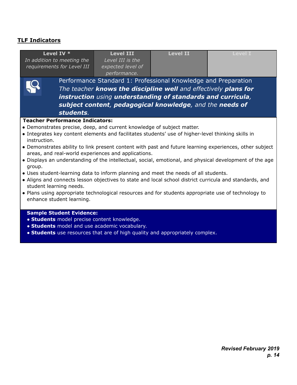## **TLF Indicators**

| Level IV *<br>In addition to meeting the<br>requirements for Level III                                                                                                                                                                                                                                                                                                                                                                                                                                                                                                                                                                                                                                                                                                                                                                                                                         | <b>Level III</b><br>Level III is the<br>expected level of<br>performance. | <b>Level II</b> | <b>Level I</b> |  |  |
|------------------------------------------------------------------------------------------------------------------------------------------------------------------------------------------------------------------------------------------------------------------------------------------------------------------------------------------------------------------------------------------------------------------------------------------------------------------------------------------------------------------------------------------------------------------------------------------------------------------------------------------------------------------------------------------------------------------------------------------------------------------------------------------------------------------------------------------------------------------------------------------------|---------------------------------------------------------------------------|-----------------|----------------|--|--|
| Performance Standard 1: Professional Knowledge and Preparation<br>The teacher knows the discipline well and effectively plans for<br>instruction using understanding of standards and curricula,<br>subject content, pedagogical knowledge, and the needs of<br>students.                                                                                                                                                                                                                                                                                                                                                                                                                                                                                                                                                                                                                      |                                                                           |                 |                |  |  |
| <b>Teacher Performance Indicators:</b><br>• Demonstrates precise, deep, and current knowledge of subject matter.<br>• Integrates key content elements and facilitates students' use of higher-level thinking skills in<br>instruction.<br>• Demonstrates ability to link present content with past and future learning experiences, other subject<br>areas, and real-world experiences and applications.<br>• Displays an understanding of the intellectual, social, emotional, and physical development of the age<br>group.<br>. Uses student-learning data to inform planning and meet the needs of all students.<br>• Aligns and connects lesson objectives to state and local school district curricula and standards, and<br>student learning needs.<br>• Plans using appropriate technological resources and for students appropriate use of technology to<br>enhance student learning. |                                                                           |                 |                |  |  |
| <b>Sample Student Evidence:</b><br>· Students model precise content knowledge.<br>• Students model and use academic vocabulary.<br>. Students use resources that are of high quality and appropriately complex.                                                                                                                                                                                                                                                                                                                                                                                                                                                                                                                                                                                                                                                                                |                                                                           |                 |                |  |  |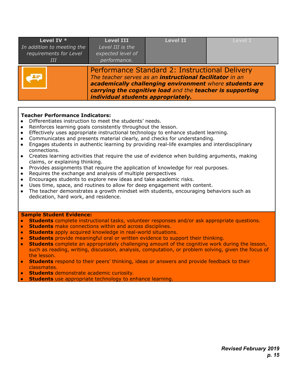| Level IV *<br>In addition to meeting the<br>requirements for Level<br>ИI | <b>Level III</b><br>Level III is the<br>expected level of<br>performance.                                                                                                                                                                                                       | <b>Level II</b> | <b>Level I</b> |
|--------------------------------------------------------------------------|---------------------------------------------------------------------------------------------------------------------------------------------------------------------------------------------------------------------------------------------------------------------------------|-----------------|----------------|
|                                                                          | Performance Standard 2: Instructional Delivery<br>The teacher serves as an <b>instructional facilitator</b> in an<br>academically challenging environment where students are<br>carrying the cognitive load and the teacher is supporting<br>individual students appropriately. |                 |                |

#### **Teacher Performance Indicators:**

- Differentiates instruction to meet the students' needs.
- Reinforces learning goals consistently throughout the lesson.
- Effectively uses appropriate instructional technology to enhance student learning.
- Communicates and presents material clearly, and checks for understanding.
- Engages students in authentic learning by providing real-life examples and interdisciplinary connections.
- Creates learning activities that require the use of evidence when building arguments, making claims, or explaining thinking.
- Provides assignments that require the application of knowledge for real purposes.
- Requires the exchange and analysis of multiple perspectives
- *●* Encourages students to explore new ideas and take academic risks.
- Uses time, space, and routines to allow for deep engagement with content.
- The teacher demonstrates a growth mindset with students, encouraging behaviors such as dedication, hard work, and residence.

#### **Sample Student Evidence:**

- **Students** complete instructional tasks, volunteer responses and/or ask appropriate questions.
- **Students** make connections within and across disciplines.
- **Students** apply acquired knowledge in real-world situations.
- **Students** provide meaningful oral or written evidence to support their thinking.
- **Students** complete an appropriately challenging amount of the cognitive work during the lesson, such as reading, writing, discussion, analysis, computation, or problem solving, given the focus of the lesson.
- **Students** respond to their peers' thinking, ideas or answers and provide feedback to their classmates.
- **Students** demonstrate academic curiosity.
- **Students** use appropriate technology to enhance learning.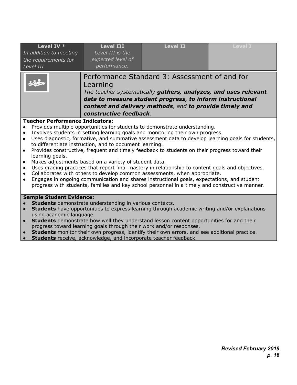| Level IV *<br>In addition to meeting<br>the requirements for<br>Level III                                                                                                                                                                                                                                                                                                                                                                                                                                                                                                                                                                                                                                                                                                                                                                                                                                                                                        | <b>Level III</b><br>Level III is the<br>expected level of<br>performance. | <b>Level II</b>                                                                                                                                                                                                                          | <b>Level I</b> |  |  |
|------------------------------------------------------------------------------------------------------------------------------------------------------------------------------------------------------------------------------------------------------------------------------------------------------------------------------------------------------------------------------------------------------------------------------------------------------------------------------------------------------------------------------------------------------------------------------------------------------------------------------------------------------------------------------------------------------------------------------------------------------------------------------------------------------------------------------------------------------------------------------------------------------------------------------------------------------------------|---------------------------------------------------------------------------|------------------------------------------------------------------------------------------------------------------------------------------------------------------------------------------------------------------------------------------|----------------|--|--|
|                                                                                                                                                                                                                                                                                                                                                                                                                                                                                                                                                                                                                                                                                                                                                                                                                                                                                                                                                                  | Learning<br>constructive feedback.                                        | Performance Standard 3: Assessment of and for<br>The teacher systematically gathers, analyzes, and uses relevant<br>data to measure student progress, to inform instructional<br>content and delivery methods, and to provide timely and |                |  |  |
| <b>Teacher Performance Indicators:</b><br>Provides multiple opportunities for students to demonstrate understanding.<br>Involves students in setting learning goals and monitoring their own progress.<br>Uses diagnostic, formative, and summative assessment data to develop learning goals for students,<br>$\bullet$<br>to differentiate instruction, and to document learning.<br>Provides constructive, frequent and timely feedback to students on their progress toward their<br>$\bullet$<br>learning goals.<br>Makes adjustments based on a variety of student data.<br>Uses grading practices that report final mastery in relationship to content goals and objectives.<br>Collaborates with others to develop common assessments, when appropriate.<br>Engages in ongoing communication and shares instructional goals, expectations, and student<br>progress with students, families and key school personnel in a timely and constructive manner. |                                                                           |                                                                                                                                                                                                                                          |                |  |  |
| <b>Sample Student Evidence:</b><br>Students demonstrate understanding in various contexts.<br><b>Students</b> have opportunities to express learning through academic writing and/or explanations<br>using academic language.<br>Students demonstrate how well they understand lesson content opportunities for and their<br>progress toward learning goals through their work and/or responses.<br><b>Students</b> monitor their own progress, identify their own errors, and see additional practice.<br>Students receive, acknowledge, and incorporate teacher feedback.                                                                                                                                                                                                                                                                                                                                                                                      |                                                                           |                                                                                                                                                                                                                                          |                |  |  |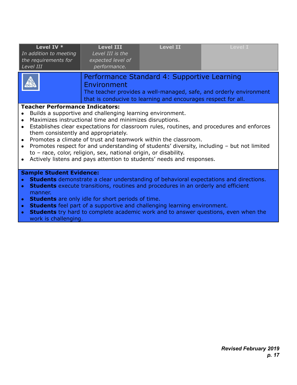| Level IV *<br>In addition to meeting<br>the requirements for<br>Level III                                                                                                                                                                                                                                                                                                                                                                                                                                                                                            | <b>Level III</b><br>Level III is the<br>expected level of<br>performance.                                                                                                                                                                                                                                                                                                                                                                                                                                                                                                                                        | <b>Level II</b>                                                                                              | <b>Level I</b>                                                     |  |  |  |
|----------------------------------------------------------------------------------------------------------------------------------------------------------------------------------------------------------------------------------------------------------------------------------------------------------------------------------------------------------------------------------------------------------------------------------------------------------------------------------------------------------------------------------------------------------------------|------------------------------------------------------------------------------------------------------------------------------------------------------------------------------------------------------------------------------------------------------------------------------------------------------------------------------------------------------------------------------------------------------------------------------------------------------------------------------------------------------------------------------------------------------------------------------------------------------------------|--------------------------------------------------------------------------------------------------------------|--------------------------------------------------------------------|--|--|--|
|                                                                                                                                                                                                                                                                                                                                                                                                                                                                                                                                                                      | Environment                                                                                                                                                                                                                                                                                                                                                                                                                                                                                                                                                                                                      | Performance Standard 4: Supportive Learning<br>that is conducive to learning and encourages respect for all. | The teacher provides a well-managed, safe, and orderly environment |  |  |  |
| $\bullet$<br>$\bullet$                                                                                                                                                                                                                                                                                                                                                                                                                                                                                                                                               | <b>Teacher Performance Indicators:</b><br>Builds a supportive and challenging learning environment.<br>Maximizes instructional time and minimizes disruptions.<br>Establishes clear expectations for classroom rules, routines, and procedures and enforces<br>them consistently and appropriately.<br>Promotes a climate of trust and teamwork within the classroom.<br>Promotes respect for and understanding of students' diversity, including - but not limited<br>to - race, color, religion, sex, national origin, or disability.<br>Actively listens and pays attention to students' needs and responses. |                                                                                                              |                                                                    |  |  |  |
| <b>Sample Student Evidence:</b><br><b>Students</b> demonstrate a clear understanding of behavioral expectations and directions.<br>$\bullet$<br><b>Students</b> execute transitions, routines and procedures in an orderly and efficient<br>$\bullet$<br>manner.<br><b>Students</b> are only idle for short periods of time.<br>$\bullet$<br><b>Students</b> feel part of a supportive and challenging learning environment.<br>$\bullet$<br>Students try hard to complete academic work and to answer questions, even when the<br>$\bullet$<br>work is challenging. |                                                                                                                                                                                                                                                                                                                                                                                                                                                                                                                                                                                                                  |                                                                                                              |                                                                    |  |  |  |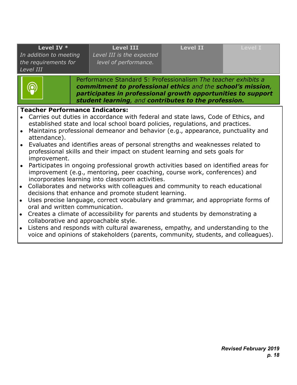| <b>Level III</b><br>Level III is the expected<br>level of performance.                                                                                                                                                                                                                                                                                                                                 | <b>Level II</b> | <b>Level I</b>                                                              |  |  |  |
|--------------------------------------------------------------------------------------------------------------------------------------------------------------------------------------------------------------------------------------------------------------------------------------------------------------------------------------------------------------------------------------------------------|-----------------|-----------------------------------------------------------------------------|--|--|--|
| Performance Standard 5: Professionalism The teacher exhibits a<br>commitment to professional ethics and the school's mission,<br>participates in professional growth opportunities to support<br>student learning, and contributes to the profession.                                                                                                                                                  |                 |                                                                             |  |  |  |
| <b>Teacher Performance Indicators:</b><br>• Carries out duties in accordance with federal and state laws, Code of Ethics, and<br>established state and local school board policies, regulations, and practices.<br>Maintains professional demeanor and behavior (e.g., appearance, punctuality and<br>attendance).<br>• Evaluates and identifies areas of personal strengths and weaknesses related to |                 |                                                                             |  |  |  |
|                                                                                                                                                                                                                                                                                                                                                                                                        |                 | professional skills and their impact on student learning and sets goals for |  |  |  |

- improvement. **●** Participates in ongoing professional growth activities based on identified areas for improvement (e.g., mentoring, peer coaching, course work, conferences) and incorporates learning into classroom activities.
- **●** Collaborates and networks with colleagues and community to reach educational decisions that enhance and promote student learning.
- **●** Uses precise language, correct vocabulary and grammar, and appropriate forms of oral and written communication.
- **●** Creates a climate of accessibility for parents and students by demonstrating a collaborative and approachable style.
- **●** Listens and responds with cultural awareness, empathy, and understanding to the voice and opinions of stakeholders (parents, community, students, and colleagues).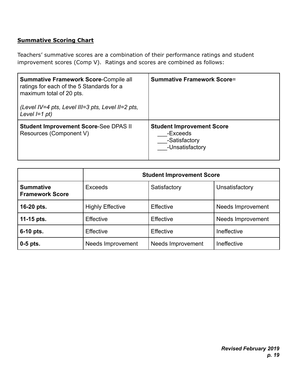## <span id="page-19-0"></span>**Summative Scoring Chart**

Teachers' summative scores are a combination of their performance ratings and student improvement scores (Comp V). Ratings and scores are combined as follows:

| <b>Summative Framework Score-Compile all</b><br>ratings for each of the 5 Standards for a<br>maximum total of 20 pts.<br>(Level IV=4 pts, Level III=3 pts, Level II=2 pts,<br>Level $I=1$ pt) | <b>Summative Framework Score=</b>                                                |
|-----------------------------------------------------------------------------------------------------------------------------------------------------------------------------------------------|----------------------------------------------------------------------------------|
| <b>Student Improvement Score-See DPAS II</b><br>Resources (Component V)                                                                                                                       | <b>Student Improvement Score</b><br>-Exceeds<br>-Satisfactory<br>-Unsatisfactory |

|                                            | <b>Student Improvement Score</b> |                   |                          |  |
|--------------------------------------------|----------------------------------|-------------------|--------------------------|--|
| <b>Summative</b><br><b>Framework Score</b> | <b>Exceeds</b>                   | Satisfactory      | Unsatisfactory           |  |
| 16-20 pts.                                 | <b>Highly Effective</b>          | Effective         | Needs Improvement        |  |
| 11-15 $pts.$                               | <b>Effective</b>                 | <b>Effective</b>  | <b>Needs Improvement</b> |  |
| 6-10 pts.                                  | <b>Effective</b>                 | <b>Effective</b>  | Ineffective              |  |
| $0-5$ pts.                                 | Needs Improvement                | Needs Improvement | Ineffective              |  |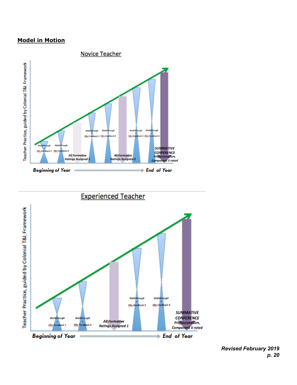#### <span id="page-20-0"></span>**Model in Motion**





*Revised February 2019 p. 20*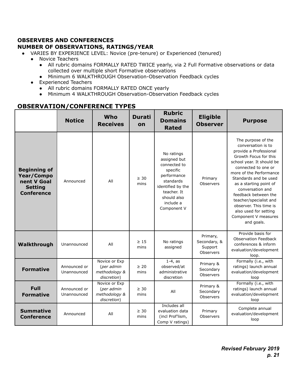#### <span id="page-21-0"></span>**OBSERVERS AND CONFERENCES NUMBER OF OBSERVATIONS, RATINGS/YEAR**

- VARIES BY EXPERIENCE LEVEL: Novice (pre-tenure) or Experienced (tenured)
	- Novice Teachers
		- All rubric domains FORMALLY RATED TWICE yearly, via 2 Full Formative observations or data collected over multiple short Formative observations
		- Minimum 6 WALKTHROUGH Observation-Observation Feedback cycles
	- Experienced Teachers
		- All rubric domains FORMALLY RATED ONCE yearly
		- Minimum 4 WALKTHROUGH Observation-Observation Feedback cycles

#### **OBSERVATION/CONFERENCE TYPES**

|                                                                                         | <b>Notice</b>               | Who<br><b>Receives</b>                                      | <b>Durati</b><br>on | <b>Rubric</b><br><b>Domains</b><br><b>Rated</b>                                                                                                                   | <b>Eligible</b><br><b>Observer</b>               | <b>Purpose</b>                                                                                                                                                                                                                                                                                                                                                                               |
|-----------------------------------------------------------------------------------------|-----------------------------|-------------------------------------------------------------|---------------------|-------------------------------------------------------------------------------------------------------------------------------------------------------------------|--------------------------------------------------|----------------------------------------------------------------------------------------------------------------------------------------------------------------------------------------------------------------------------------------------------------------------------------------------------------------------------------------------------------------------------------------------|
| <b>Beginning of</b><br>Year/Compo<br>nent V Goal<br><b>Setting</b><br><b>Conference</b> | Announced                   | All                                                         | $\geq 30$<br>mins   | No ratings<br>assigned but<br>connected to<br>specific<br>performance<br>standards<br>identified by the<br>teacher. It<br>should also<br>include a<br>Component V | Primary<br>Observers                             | The purpose of the<br>conversation is to<br>provide a Professional<br>Growth Focus for this<br>school year. It should be<br>connected to one or<br>more of the Performance<br>Standards and be used<br>as a starting point of<br>conversation and<br>feedback between the<br>teacher/specialist and<br>observer. This time is<br>also used for setting<br>Component V measures<br>and goals. |
| Walkthrough                                                                             | Unannounced                 | All                                                         | $\geq 15$<br>mins   | No ratings<br>assigned                                                                                                                                            | Primary,<br>Secondary, &<br>Support<br>Observers | Provide basis for<br><b>Observation Feedback</b><br>conferences & inform<br>evaluation/development<br>loop.                                                                                                                                                                                                                                                                                  |
| <b>Formative</b>                                                                        | Announced or<br>Unannounced | Novice or Exp<br>(per admin<br>methodology &<br>discretion) | $\geq 20$<br>mins   | $1-4$ , as<br>observed/at<br>administrative<br>discretion                                                                                                         | Primary &<br>Secondary<br>Observers              | Formally (i.e., with<br>ratings) launch annual<br>evaluation/development<br>loop                                                                                                                                                                                                                                                                                                             |
| <b>Full</b><br><b>Formative</b>                                                         | Announced or<br>Unannounced | Novice or Exp<br>(per admin<br>methodology &<br>discretion) | $\geq 30$<br>mins   | All                                                                                                                                                               | Primary &<br>Secondary<br>Observers              | Formally (i.e., with<br>ratings) launch annual<br>evaluation/development<br>loop                                                                                                                                                                                                                                                                                                             |
| <b>Summative</b><br><b>Conference</b>                                                   | Announced                   | All                                                         | $\geq 30$<br>mins   | Includes all<br>evaluation data<br>(incl Prof'lism,<br>Comp V ratings)                                                                                            | Primary<br>Observers                             | Complete annual<br>evaluation/development<br>loop                                                                                                                                                                                                                                                                                                                                            |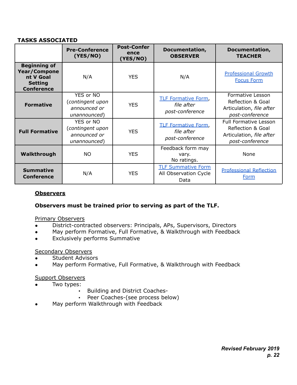#### **TASKS ASSOCIATED**

|                                                                                                | <b>Pre-Conference</b><br>(YES/NO)                             | <b>Post-Confer</b><br>ence<br>(YES/NO) | Documentation,<br><b>OBSERVER</b>                           | Documentation,<br><b>TEACHER</b>                                                                 |
|------------------------------------------------------------------------------------------------|---------------------------------------------------------------|----------------------------------------|-------------------------------------------------------------|--------------------------------------------------------------------------------------------------|
| <b>Beginning of</b><br><b>Year/Compone</b><br>nt V Goal<br><b>Setting</b><br><b>Conference</b> | N/A                                                           | <b>YES</b>                             | N/A                                                         | <b>Professional Growth</b><br><b>Focus Form</b>                                                  |
| <b>Formative</b>                                                                               | YES or NO<br>contingent upon)<br>announced or<br>unannounced) | <b>YES</b>                             | <b>TLF Formative Form,</b><br>file after<br>post-conference | Formative Lesson<br>Reflection & Goal<br>Articulation, file after<br>post-conference             |
| <b>Full Formative</b>                                                                          | YES or NO<br>(contingent upon<br>announced or<br>unannounced) | <b>YES</b>                             | <b>TLF Formative Form,</b><br>file after<br>post-conference | <b>Full Formative Lesson</b><br>Reflection & Goal<br>Articulation, file after<br>post-conference |
| Walkthrough                                                                                    | NO.                                                           | <b>YES</b>                             | Feedback form may<br>vary.<br>No ratings.                   | None                                                                                             |
| <b>Summative</b><br><b>Conference</b>                                                          | N/A                                                           | <b>YES</b>                             | <b>TLF Summative Form</b><br>All Observation Cycle<br>Data  | <b>Professional Reflection</b><br><b>Form</b>                                                    |

#### **Observers**

#### **Observers must be trained prior to serving as part of the TLF.**

#### Primary Observers

- District-contracted observers: Principals, APs, Supervisors, Directors
- May perform Formative, Full Formative, & Walkthrough with Feedback
- Exclusively performs Summative

#### Secondary Observers

- **Student Advisors**
- May perform Formative, Full Formative, & Walkthrough with Feedback

#### Support Observers

- Two types:
	- Building and District Coaches-
	- Peer Coaches-(see process below)
- May perform Walkthrough with Feedback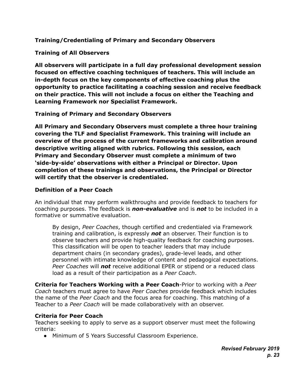<span id="page-23-0"></span>**Training/Credentialing of Primary and Secondary Observers**

**Training of All Observers**

**All observers will participate in a full day professional development session focused on effective coaching techniques of teachers. This will include an in-depth focus on the key components of effective coaching plus the opportunity to practice facilitating a coaching session and receive feedback on their practice. This will not include a focus on either the Teaching and Learning Framework nor Specialist Framework.**

**Training of Primary and Secondary Observers**

**All Primary and Secondary Observers must complete a three hour training covering the TLF and Specialist Framework. This training will include an overview of the process of the current frameworks and calibration around descriptive writing aligned with rubrics. Following this session, each Primary and Secondary Observer must complete a minimum of two 'side-by-side' observations with either a Principal or Director. Upon completion of these trainings and observations, the Principal or Director will certify that the observer is credentialed.**

#### **Definition of a Peer Coach**

An individual that may perform walkthroughs and provide feedback to teachers for coaching purposes. The feedback is *non-evaluative* and is *not* to be included in a formative or summative evaluation.

By design, *Peer Coaches*, though certified and credentialed via Framework training and calibration, is expressly *not* an observer. Their function is to observe teachers and provide high-quality feedback for coaching purposes. This classification will be open to teacher leaders that may include department chairs (in secondary grades), grade-level leads, and other personnel with intimate knowledge of content and pedagogical expectations. *Peer Coaches* will *not* receive additional EPER or stipend or a reduced class load as a result of their participation as a *Peer Coach*.

**Criteria for Teachers Working with a Peer Coach**-Prior to working with a *Peer Coach* teachers must agree to have *Peer Coaches* provide feedback which includes the name of the *Peer Coach* and the focus area for coaching. This matching of a Teacher to a *Peer Coach* will be made collaboratively with an observer.

#### **Criteria for Peer Coach**

Teachers seeking to apply to serve as a support observer must meet the following criteria:

● Minimum of 5 Years Successful Classroom Experience.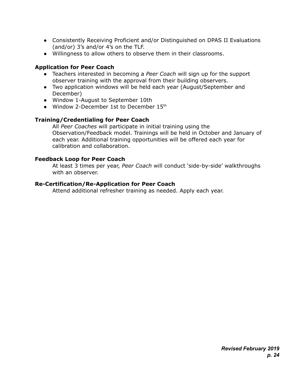- Consistently Receiving Proficient and/or Distinguished on DPAS II Evaluations (and/or) 3's and/or 4's on the TLF.
- Willingness to allow others to observe them in their classrooms.

#### **Application for Peer Coach**

- Teachers interested in becoming a *Peer Coach* will sign up for the support observer training with the approval from their building observers.
- Two application windows will be held each year (August/September and December)
- Window 1-August to September 10th
- Window 2-December 1st to December 15th

#### **Training/Credentialing for Peer Coach**

All *Peer Coaches* will participate in initial training using the Observation/Feedback model. Trainings will be held in October and January of each year. Additional training opportunities will be offered each year for calibration and collaboration.

#### **Feedback Loop for Peer Coach**

At least 3 times per year, *Peer Coach* will conduct 'side-by-side' walkthroughs with an observer.

#### **Re-Certification/Re-Application for Peer Coach**

Attend additional refresher training as needed. Apply each year.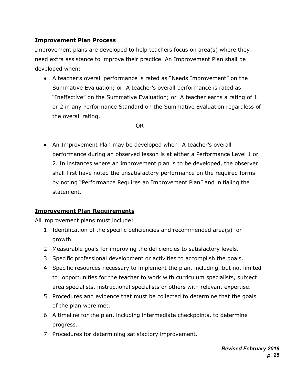## <span id="page-25-0"></span>**Improvement Plan Process**

Improvement plans are developed to help teachers focus on area(s) where they need extra assistance to improve their practice. An Improvement Plan shall be developed when:

● A teacher's overall performance is rated as "Needs Improvement" on the Summative Evaluation; or A teacher's overall performance is rated as "Ineffective" on the Summative Evaluation; or A teacher earns a rating of 1 or 2 in any Performance Standard on the Summative Evaluation regardless of the overall rating.

OR

● An Improvement Plan may be developed when: A teacher's overall performance during an observed lesson is at either a Performance Level 1 or 2. In instances where an improvement plan is to be developed, the observer shall first have noted the unsatisfactory performance on the required forms by noting "Performance Requires an Improvement Plan" and initialing the statement.

#### **Improvement Plan Requirements**

All improvement plans must include:

- 1. Identification of the specific deficiencies and recommended area(s) for growth.
- 2. Measurable goals for improving the deficiencies to satisfactory levels.
- 3. Specific professional development or activities to accomplish the goals.
- 4. Specific resources necessary to implement the plan, including, but not limited to: opportunities for the teacher to work with curriculum specialists, subject area specialists, instructional specialists or others with relevant expertise.
- 5. Procedures and evidence that must be collected to determine that the goals of the plan were met.
- 6. A timeline for the plan, including intermediate checkpoints, to determine progress.
- 7. Procedures for determining satisfactory improvement.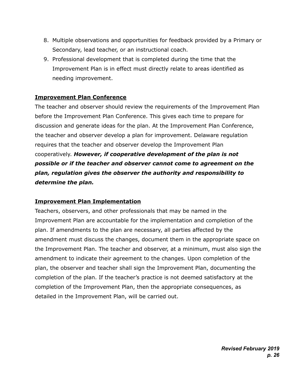- 8. Multiple observations and opportunities for feedback provided by a Primary or Secondary, lead teacher, or an instructional coach.
- 9. Professional development that is completed during the time that the Improvement Plan is in effect must directly relate to areas identified as needing improvement.

#### **Improvement Plan Conference**

The teacher and observer should review the requirements of the Improvement Plan before the Improvement Plan Conference. This gives each time to prepare for discussion and generate ideas for the plan. At the Improvement Plan Conference, the teacher and observer develop a plan for improvement. Delaware regulation requires that the teacher and observer develop the Improvement Plan cooperatively. *However, if cooperative development of the plan is not possible or if the teacher and observer cannot come to agreement on the plan, regulation gives the observer the authority and responsibility to determine the plan.*

#### **Improvement Plan Implementation**

Teachers, observers, and other professionals that may be named in the Improvement Plan are accountable for the implementation and completion of the plan. If amendments to the plan are necessary, all parties affected by the amendment must discuss the changes, document them in the appropriate space on the Improvement Plan. The teacher and observer, at a minimum, must also sign the amendment to indicate their agreement to the changes. Upon completion of the plan, the observer and teacher shall sign the Improvement Plan, documenting the completion of the plan. If the teacher's practice is not deemed satisfactory at the completion of the Improvement Plan, then the appropriate consequences, as detailed in the Improvement Plan, will be carried out.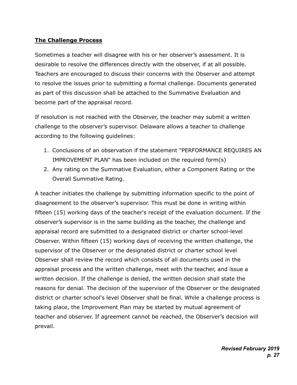#### **The Challenge Process**

Sometimes a teacher will disagree with his or her observer's assessment. It is desirable to resolve the differences directly with the observer, if at all possible. Teachers are encouraged to discuss their concerns with the Observer and attempt to resolve the issues prior to submitting a formal challenge. Documents generated as part of this discussion shall be attached to the Summative Evaluation and become part of the appraisal record.

If resolution is not reached with the Observer, the teacher may submit a written challenge to the observer's supervisor. Delaware allows a teacher to challenge according to the following guidelines:

- 1. Conclusions of an observation if the statement "PERFORMANCE REQUIRES AN IMPROVEMENT PLAN" has been included on the required form(s)
- 2. Any rating on the Summative Evaluation, either a Component Rating or the Overall Summative Rating.

A teacher initiates the challenge by submitting information specific to the point of disagreement to the observer's supervisor. This must be done in writing within fifteen (15) working days of the teacher's receipt of the evaluation document. If the observer's supervisor is in the same building as the teacher, the challenge and appraisal record are submitted to a designated district or charter school-level Observer. Within fifteen (15) working days of receiving the written challenge, the supervisor of the Observer or the designated district or charter school level Observer shall review the record which consists of all documents used in the appraisal process and the written challenge, meet with the teacher, and issue a written decision. If the challenge is denied, the written decision shall state the reasons for denial. The decision of the supervisor of the Observer or the designated district or charter school's level Observer shall be final. While a challenge process is taking place, the Improvement Plan may be started by mutual agreement of teacher and observer. If agreement cannot be reached, the Observer's decision will prevail.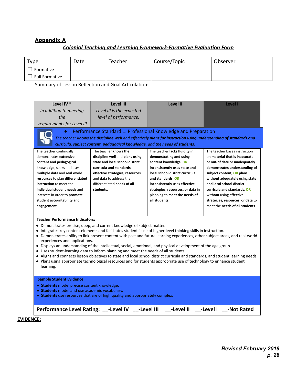#### **Appendix A**

#### *Colonial Teaching and Learning Framework-Formative Evaluation Form*

<span id="page-28-0"></span>

| Type                  | Date | Teacher | Course/Topic | Observer |
|-----------------------|------|---------|--------------|----------|
| Formative             |      |         |              |          |
| <b>Full Formative</b> |      |         |              |          |

Summary of Lesson Reflection and Goal Articulation:

| Level IV *<br><b>Level II</b><br>Level III<br>Level I<br>In addition to meeting<br>Level III is the expected<br>the<br>level of performance.<br>requirements for Level III                                                                                                                                                                                                                                                                                                                                                                                                                                                                                                                                                                                                                                                                                                                                                                                                                                                                                                                                                                                                                                                                    |  |  |  |  |  |  |  |
|-----------------------------------------------------------------------------------------------------------------------------------------------------------------------------------------------------------------------------------------------------------------------------------------------------------------------------------------------------------------------------------------------------------------------------------------------------------------------------------------------------------------------------------------------------------------------------------------------------------------------------------------------------------------------------------------------------------------------------------------------------------------------------------------------------------------------------------------------------------------------------------------------------------------------------------------------------------------------------------------------------------------------------------------------------------------------------------------------------------------------------------------------------------------------------------------------------------------------------------------------|--|--|--|--|--|--|--|
| Performance Standard 1: Professional Knowledge and Preparation<br>The teacher knows the discipline well and effectively plans for instruction using understanding of standards and<br>curricula, subject content, pedagogical knowledge, and the needs of students.                                                                                                                                                                                                                                                                                                                                                                                                                                                                                                                                                                                                                                                                                                                                                                                                                                                                                                                                                                           |  |  |  |  |  |  |  |
| The teacher knows the<br>The teacher continually<br>The teacher lacks fluidity in<br>The teacher bases instruction<br>demonstrates extensive<br>discipline well and plans using<br>demonstrating and using<br>on material that is inaccurate<br>state and local school district<br>content and pedagogical<br>content knowledge, OR<br>or out-of date or inadequately<br>curricula and standards,<br>knowledge, seeks and uses<br>inconsistently uses state and<br>demonstrates understanding of<br>multiple data and real world<br>effective strategies, resources,<br>local school district curricula<br>subject content, OR plans<br>resources to plan differentiated<br>and <b>data</b> to address the<br>and standards, OR<br>without adequately using state<br>differentiated needs of all<br>instruction to meet the<br>and local school district<br>inconsistently uses effective<br>individual student needs and<br>students.<br>strategies, resources, or data in<br>curricula and standards, OR<br>interests in order to promote<br>planning to meet the needs of<br>without using effective<br>all students.<br>strategies, resources, or data to<br>student accountability and<br>meet the needs of all students.<br>engagement. |  |  |  |  |  |  |  |
| <b>Teacher Performance Indicators:</b><br>• Demonstrates precise, deep, and current knowledge of subject matter.<br>• Integrates key content elements and facilitates students' use of higher-level thinking skills in instruction.<br>• Demonstrates ability to link present content with past and future learning experiences, other subject areas, and real-world<br>experiences and applications.<br>• Displays an understanding of the intellectual, social, emotional, and physical development of the age group.<br>• Uses student-learning data to inform planning and meet the needs of all students.<br>• Aligns and connects lesson objectives to state and local school district curricula and standards, and student learning needs.<br>• Plans using appropriate technological resources and for students appropriate use of technology to enhance student<br>learning.                                                                                                                                                                                                                                                                                                                                                         |  |  |  |  |  |  |  |
| <b>Sample Student Evidence:</b><br>• Students model precise content knowledge.<br>• Students model and use academic vocabulary.<br>• Students use resources that are of high quality and appropriately complex.<br>Performance Level Rating: __-Level IV __-Level III __-Level II __-Level I __-Not Rated                                                                                                                                                                                                                                                                                                                                                                                                                                                                                                                                                                                                                                                                                                                                                                                                                                                                                                                                     |  |  |  |  |  |  |  |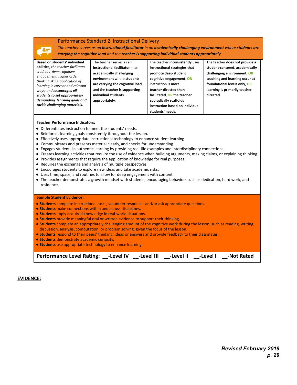#### Performance Standard 2: Instructional Delivery

*The teacher serves as an instructional facilitator in an academically challenging environment where students are carrying the cognitive load and the teacher is supporting individual students appropriately.*

| Based on students' individual                                       | The teacher serves as an        | The teacher inconsistently uses | The teacher does not provide a |
|---------------------------------------------------------------------|---------------------------------|---------------------------------|--------------------------------|
|                                                                     |                                 |                                 |                                |
| abilities, the teacher facilitates                                  | instructional facilitator in an | instructional strategies that   | student-centered, academically |
| students' deep cognitive                                            | academically challenging        | promote deep student            | challenging environment, OR    |
| engagement, higher order                                            | environment where students      | cognitive engagement, OR        | teaching and learning occur at |
| thinking skills, application of<br>learning in current and relevant | are carrying the cognitive load | instruction is more             | foundational levels only, OR   |
| ways, and <b>encourages all</b>                                     | and the teacher is supporting   | teacher-directed than           | learning is primarily teacher  |
| students to set appropriately                                       | individual students             | facilitated, OR the teacher     | directed.                      |
| demanding learning goals and                                        | appropriately.                  | sporadically scaffolds          |                                |
| tackle challenging materials.                                       |                                 | instruction based on individual |                                |
|                                                                     |                                 | students' needs.                |                                |

#### **Teacher Performance Indicators:**

- Differentiates instruction to meet the students' needs.
- Reinforces learning goals consistently throughout the lesson.
- Effectively uses appropriate instructional technology to enhance student learning.
- Communicates and presents material clearly, and checks for understanding.
- Engages students in authentic learning by providing real-life examples and interdisciplinary connections.
- Creates learning activities that require the use of evidence when building arguments, making claims, or explaining thinking.
- Provides assignments that require the application of knowledge for real purposes.
- Requires the exchange and analysis of multiple perspectives
- *●* Encourages students to explore new ideas and take academic risks.
- Uses time, space, and routines to allow for deep engagement with content.
- The teacher demonstrates a growth mindset with students, encouraging behaviors such as dedication, hard work, and residence.

#### **Sample Student Evidence:**

- **Students** complete instructional tasks, volunteer responses and/or ask appropriate questions.
- **Students** make connections within and across disciplines.
- **Students** apply acquired knowledge in real-world situations.
- **Students** provide meaningful oral or written evidence to support their thinking.
- **Students** complete an appropriately challenging amount of the cognitive work during the lesson, such as reading, writing, discussion, analysis, computation, or problem solving, given the focus of the lesson.
- **Students** respond to their peers' thinking, ideas or answers and provide feedback to their classmates.
- **Students** demonstrate academic curiosity.
- **● Students** use appropriate technology to enhance learning.

Performance Level Rating: -Level IV -Level III -Level II -Level I -Not Rated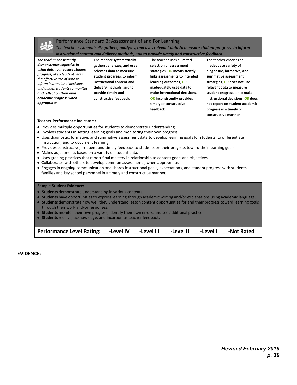

#### Performance Standard 3: Assessment of and For Learning

*The teacher systematically gathers, analyzes, and uses relevant data to measure student progress, to inform instructional content and delivery methods, and to provide timely and constructive feedback.*

| The teacher consistently                                        | The teacher systematically  | The teacher uses a limited        | The teacher chooses an           |
|-----------------------------------------------------------------|-----------------------------|-----------------------------------|----------------------------------|
| demonstrates expertise in                                       | gathers, analyzes, and uses | selection of assessment           | inadequate variety of            |
| using data to measure student                                   | relevant data to measure    | strategies, OR inconsistently     | diagnostic, formative, and       |
| progress, likely leads others in                                | student progress, to inform | links assessments to intended     | summative assessment             |
| the effective use of data to<br>inform instructional decisions, | instructional content and   | learning outcomes, OR             | strategies, OR does not use      |
| and quides students to monitor                                  | delivery methods, and to    | inadequately uses data to         | relevant data to measure         |
| and reflect on their own                                        | provide timely and          | make instructional decisions,     | student progress, or to make     |
| academic progress when                                          | constructive feedback.      | <b>OR inconsistently provides</b> | instructional decisions, OR does |
| appropriate.                                                    |                             | timely or constructive            | not report on student academic   |
|                                                                 |                             | feedback.                         | progress in a timely or          |
|                                                                 |                             |                                   | constructive manner.             |

#### **Teacher Performance Indicators:**

- Provides multiple opportunities for students to demonstrate understanding.
- Involves students in setting learning goals and monitoring their own progress.
- Uses diagnostic, formative, and summative assessment data to develop learning goals for students, to differentiate instruction, and to document learning.
- Provides constructive, frequent and timely feedback to students on their progress toward their learning goals.
- Makes adjustments based on a variety of student data.
- Uses grading practices that report final mastery in relationship to content goals and objectives.
- Collaborates with others to develop common assessments, when appropriate.
- Engages in ongoing communication and shares instructional goals, expectations, and student progress with students, families and key school personnel in a timely and constructive manner.

#### **Sample Student Evidence:**

- **Students** demonstrate understanding in various contexts.
- **Students** have opportunities to express learning through academic writing and/or explanations using academic language.
- **Students** demonstrate how well they understand lesson content opportunities for and their progress toward learning goals through their work and/or responses.
- **Students** monitor their own progress, identify their own errors, and see additional practice.
- **Students** receive, acknowledge, and incorporate teacher feedback.

| Performance Level Rating: __-Level IV __-Level III |  |  | -Level II -Level I -Not Rated |
|----------------------------------------------------|--|--|-------------------------------|
|                                                    |  |  |                               |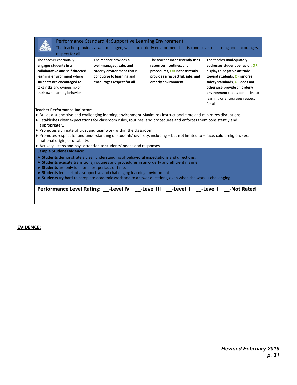|--|--|

#### Performance Standard 4: Supportive Learning Environment

The teacher provides a well-managed, safe, and orderly environment that is conducive to learning and encourages respect for all.

| <b>ICONCOLTOF QUE</b>                                                                                                                                                                                                                                                                                                                                                                                                                                                                                                                                                                                                           |                                                                                       |                                  |                                  |  |  |  |  |  |
|---------------------------------------------------------------------------------------------------------------------------------------------------------------------------------------------------------------------------------------------------------------------------------------------------------------------------------------------------------------------------------------------------------------------------------------------------------------------------------------------------------------------------------------------------------------------------------------------------------------------------------|---------------------------------------------------------------------------------------|----------------------------------|----------------------------------|--|--|--|--|--|
| The teacher continually                                                                                                                                                                                                                                                                                                                                                                                                                                                                                                                                                                                                         | The teacher provides a                                                                | The teacher inconsistently uses  | The teacher inadequately         |  |  |  |  |  |
| engages students in a                                                                                                                                                                                                                                                                                                                                                                                                                                                                                                                                                                                                           | well-managed, safe, and<br>addresses student behavior, OR<br>resources, routines, and |                                  |                                  |  |  |  |  |  |
| collaborative and self-directed                                                                                                                                                                                                                                                                                                                                                                                                                                                                                                                                                                                                 | orderly environment that is                                                           | procedures, OR inconsistently    | displays a negative attitude     |  |  |  |  |  |
| learning environment where                                                                                                                                                                                                                                                                                                                                                                                                                                                                                                                                                                                                      | conducive to learning and                                                             | provides a respectful, safe, and | toward students, OR ignores      |  |  |  |  |  |
| students are encouraged to                                                                                                                                                                                                                                                                                                                                                                                                                                                                                                                                                                                                      | encourages respect for all.                                                           | orderly environment.             | safety standards, OR does not    |  |  |  |  |  |
| take risks and ownership of                                                                                                                                                                                                                                                                                                                                                                                                                                                                                                                                                                                                     |                                                                                       |                                  | otherwise provide an orderly     |  |  |  |  |  |
| their own learning behavior.                                                                                                                                                                                                                                                                                                                                                                                                                                                                                                                                                                                                    |                                                                                       |                                  | environment that is conducive to |  |  |  |  |  |
|                                                                                                                                                                                                                                                                                                                                                                                                                                                                                                                                                                                                                                 |                                                                                       |                                  | learning or encourages respect   |  |  |  |  |  |
|                                                                                                                                                                                                                                                                                                                                                                                                                                                                                                                                                                                                                                 |                                                                                       |                                  | for all.                         |  |  |  |  |  |
| <b>Teacher Performance Indicators:</b><br>• Builds a supportive and challenging learning environment. Maximizes instructional time and minimizes disruptions.<br>• Establishes clear expectations for classroom rules, routines, and procedures and enforces them consistently and<br>appropriately.<br>$\bullet$ Promotes a climate of trust and teamwork within the classroom.<br>• Promotes respect for and understanding of students' diversity, including - but not limited to - race, color, religion, sex,<br>national origin, or disability.<br>• Actively listens and pays attention to students' needs and responses. |                                                                                       |                                  |                                  |  |  |  |  |  |
| <b>Sample Student Evidence:</b><br>• Students demonstrate a clear understanding of behavioral expectations and directions.<br>• Students execute transitions, routines and procedures in an orderly and efficient manner.<br>• Students are only idle for short periods of time.<br>• Students feel part of a supportive and challenging learning environment.<br>• Students try hard to complete academic work and to answer questions, even when the work is challenging.                                                                                                                                                     |                                                                                       |                                  |                                  |  |  |  |  |  |
|                                                                                                                                                                                                                                                                                                                                                                                                                                                                                                                                                                                                                                 | Performance Level Rating: ____Level IV _______Level III _____Level II _____Level I    |                                  | -Not Rated                       |  |  |  |  |  |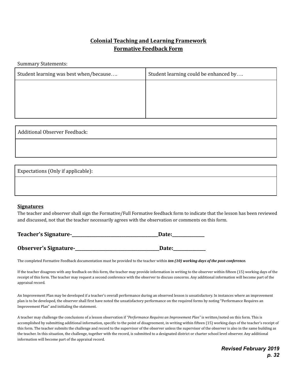## **Colonial Teaching and Learning Framework Formative Feedback Form**

Summary Statements:

| Student learning was best when/because | Student learning could be enhanced by |
|----------------------------------------|---------------------------------------|
|                                        |                                       |
|                                        |                                       |
|                                        |                                       |

Additional Observer Feedback:

Expectations (Only if applicable):

#### **Signatures**

The teacher and observer shall sign the Formative/Full Formative feedback form to indicate that the lesson has been reviewed and discussed, not that the teacher necessarily agrees with the observation or comments on this form.

| Teacher's Signature-  | Date: |
|-----------------------|-------|
|                       |       |
| Observer's Signature- | Date: |

The completed Formative Feedback documentation must be provided to the teacher within *ten (10) working days of the post-conference.*

If the teacher disagrees with any feedback on this form, the teacher may provide information in writing to the observer within fifteen (15) working days of the receipt of this form. The teacher may request a second conference with the observer to discuss concerns. Any additional information will become part of the appraisal record.

An Improvement Plan may be developed if a teacher's overall performance during an observed lesson is unsatisfactory. In instances where an improvement plan is to be developed, the observer shall first have noted the unsatisfactory performance on the required forms by noting "Performance Requires an Improvement Plan" and initialing the statement.

A teacher may challenge the conclusions of a lesson observation if *"Performance Requires an Improvement Plan"* is written/noted on this form. This is accomplished by submitting additional information, specific to the point of disagreement, in writing within fifteen (15) working days of the teacher's receipt of this form. The teacher submits the challenge and record to the supervisor of the observer unless the supervisor of the observer is also in the same building as the teacher. In this situation, the challenge, together with the record, is submitted to a designated district or charter school level observer. Any additional information will become part of the appraisal record.

> *Revised February 2019 p. 32*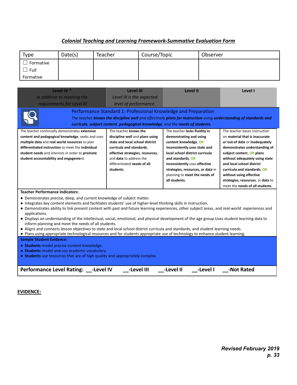#### *Colonial Teaching and Learning Framework-Summative Evaluation Form*

<span id="page-33-0"></span>

| Type      | Date(s) | Teacher | Course/Topic | Observer |
|-----------|---------|---------|--------------|----------|
| Formative |         |         |              |          |
| Full      |         |         |              |          |
| Formative |         |         |              |          |

| Level IV <sup>*</sup><br>In addition to meeting the<br>requirements for Level III                                                                                                                                                                                                                                                                                                                                                                                                                                                                                                                                                                                                                                                                                                                                                                                                                                                                                                                                                                                                                                                                                                                                              | <b>Level III</b><br>Level III is the expected<br>level of performance.<br>Performance Standard 1: Professional Knowledge and Preparation                                                                               | Level II | Level I |  |
|--------------------------------------------------------------------------------------------------------------------------------------------------------------------------------------------------------------------------------------------------------------------------------------------------------------------------------------------------------------------------------------------------------------------------------------------------------------------------------------------------------------------------------------------------------------------------------------------------------------------------------------------------------------------------------------------------------------------------------------------------------------------------------------------------------------------------------------------------------------------------------------------------------------------------------------------------------------------------------------------------------------------------------------------------------------------------------------------------------------------------------------------------------------------------------------------------------------------------------|------------------------------------------------------------------------------------------------------------------------------------------------------------------------------------------------------------------------|----------|---------|--|
|                                                                                                                                                                                                                                                                                                                                                                                                                                                                                                                                                                                                                                                                                                                                                                                                                                                                                                                                                                                                                                                                                                                                                                                                                                | The teacher <b>knows the discipline well</b> and effectively <b>plans for instruction</b> using <b>understanding of standards and</b><br>curricula, subject content, pedagogical knowledge, and the needs of students. |          |         |  |
| The teacher knows the<br>The teacher bases instruction<br>The teacher continually demonstrates extensive<br>The teacher lacks fluidity in<br>discipline well and plans using<br>content and pedagogical knowledge, seeks and uses<br>demonstrating and using<br>on material that is inaccurate<br>multiple data and real world resources to plan<br>state and local school district<br>content knowledge, OR<br>or out-of date or inadequately<br>differentiated instruction to meet the individual<br>curricula and standards,<br>inconsistently uses state and<br>demonstrates understanding of<br>student needs and interests in order to promote<br>effective strategies, resources,<br>local school district curricula<br>subject content, OR plans<br>and <b>data</b> to address the<br>student accountability and engagement.<br>and standards, OR<br>without adequately using state<br>and local school district<br>differentiated needs of all<br>inconsistently uses effective<br>students.<br>strategies, resources, or data in<br>curricula and standards, OR<br>without using effective<br>planning to meet the needs of<br>all students.<br>strategies, resources, or data to<br>meet the needs of all students. |                                                                                                                                                                                                                        |          |         |  |
| <b>Teacher Performance Indicators:</b><br>• Demonstrates precise, deep, and current knowledge of subject matter.<br>• Integrates key content elements and facilitates students' use of higher-level thinking skills in instruction.<br>• Demonstrates ability to link present content with past and future learning experiences, other subject areas, and real-world experiences and<br>applications.<br>• Displays an understanding of the intellectual, social, emotional, and physical development of the age group. Uses student-learning data to<br>inform planning and meet the needs of all students.                                                                                                                                                                                                                                                                                                                                                                                                                                                                                                                                                                                                                   |                                                                                                                                                                                                                        |          |         |  |

- Aligns and connects lesson objectives to state and local school district curricula and standards, and student learning needs.
- Plans using appropriate technological resources and for students appropriate use of technology to enhance student learning.

**Sample Student Evidence:**

- **Students** model precise content knowledge.
- **Students** model and use academic vocabulary.

● **Students** use resources that are of high quality and appropriately complex.

| Performance Level Rating: __-Level IV | $\rule{1em}{0.15mm} - \text{Level III}$ |  |  |
|---------------------------------------|-----------------------------------------|--|--|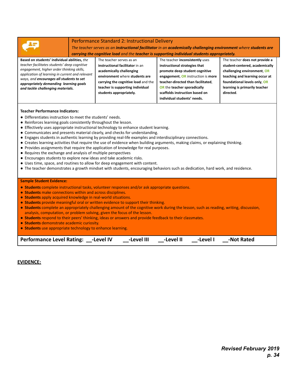|                                                                                                                                                                                                                                                                                                                                                                                                                                                                                                                                                                                                                                                                                                                                                                                                                                                                                                                                                                                                                                                | Performance Standard 2: Instructional Delivery | The teacher serves as an instructional facilitator in an academically challenging environment where students are<br>carrying the cognitive load and the teacher is supporting individual students appropriately. |  |  |
|------------------------------------------------------------------------------------------------------------------------------------------------------------------------------------------------------------------------------------------------------------------------------------------------------------------------------------------------------------------------------------------------------------------------------------------------------------------------------------------------------------------------------------------------------------------------------------------------------------------------------------------------------------------------------------------------------------------------------------------------------------------------------------------------------------------------------------------------------------------------------------------------------------------------------------------------------------------------------------------------------------------------------------------------|------------------------------------------------|------------------------------------------------------------------------------------------------------------------------------------------------------------------------------------------------------------------|--|--|
| Based on students' individual abilities, the<br>The teacher serves as an<br>The teacher inconsistently uses<br>teacher facilitates students' deep cognitive<br>instructional facilitator in an<br>instructional strategies that<br>engagement, higher order thinking skills,<br>academically challenging<br>promote deep student cognitive<br>application of learning in current and relevant<br>environment where students are<br>engagement, OR instruction is more<br>ways, and encourages all students to set<br>carrying the cognitive load and the<br>teacher-directed than facilitated,<br>appropriately demanding learning goals<br>teacher is supporting individual<br>OR the teacher sporadically<br>and tackle challenging materials.<br>students appropriately.<br>scaffolds instruction based on<br>directed.<br>individual students' needs.                                                                                                                                                                                      |                                                | The teacher does not provide a<br>student-centered, academically<br>challenging environment, OR<br>teaching and learning occur at<br>foundational levels only, OR<br>learning is primarily teacher               |  |  |
| <b>Teacher Performance Indicators:</b><br>• Differentiates instruction to meet the students' needs.<br>• Reinforces learning goals consistently throughout the lesson.<br>• Effectively uses appropriate instructional technology to enhance student learning.<br>• Communicates and presents material clearly, and checks for understanding.<br>• Engages students in authentic learning by providing real-life examples and interdisciplinary connections.<br>• Creates learning activities that require the use of evidence when building arguments, making claims, or explaining thinking.<br>• Provides assignments that require the application of knowledge for real purposes.<br>• Requires the exchange and analysis of multiple perspectives<br>• Encourages students to explore new ideas and take academic risks.<br>• Uses time, space, and routines to allow for deep engagement with content.<br>• The teacher demonstrates a growth mindset with students, encouraging behaviors such as dedication, hard work, and residence. |                                                |                                                                                                                                                                                                                  |  |  |
| <b>Sample Student Evidence:</b><br>• Students complete instructional tasks, volunteer responses and/or ask appropriate questions.<br>• Students make connections within and across disciplines.<br>• Students apply acquired knowledge in real-world situations.<br>• Students provide meaningful oral or written evidence to support their thinking.<br>• Students complete an appropriately challenging amount of the cognitive work during the lesson, such as reading, writing, discussion,<br>analysis, computation, or problem solving, given the focus of the lesson.<br>• Students respond to their peers' thinking, ideas or answers and provide feedback to their classmates.<br>• Students demonstrate academic curiosity.<br>• Students use appropriate technology to enhance learning.                                                                                                                                                                                                                                            |                                                |                                                                                                                                                                                                                  |  |  |

| Performance Level Rating: __-Level IV | $\rule{1em}{0.15mm} - \text{Level III}$ | -Level II | -Level I | -Not Rated |  |
|---------------------------------------|-----------------------------------------|-----------|----------|------------|--|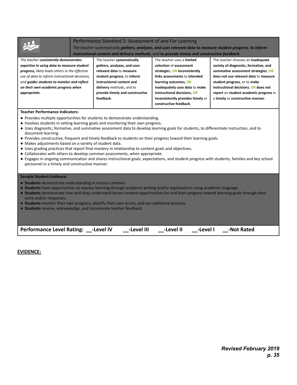#### Performance Standard 3: Assessment of and For Learning

*The teacher systematically gathers, analyzes, and uses relevant data to measure student progress, to inform instructional content and delivery methods, and to provide timely and constructive feedback.*

| The teacher consistently demonstrates          | The teacher systematically      | The teacher uses a limited        | The teacher chooses an inadequate      |
|------------------------------------------------|---------------------------------|-----------------------------------|----------------------------------------|
| expertise in using data to measure student     | gathers, analyzes, and uses     | selection of assessment           | variety of diagnostic, formative, and  |
| progress, likely leads others in the effective | relevant data to measure        | strategies, OR inconsistently     | summative assessment strategies, OR    |
| use of data to inform instructional decisions, | student progress, to inform     | links assessments to intended     | does not use relevant data to measure  |
| and quides students to monitor and reflect     | instructional content and       | learning outcomes, OR             | student progress, or to make           |
| on their own academic progress when            | delivery methods, and to        | inadequately uses data to make    | instructional decisions, OR does not   |
| appropriate.                                   | provide timely and constructive | instructional decisions, OR       | report on student academic progress in |
|                                                | feedback.                       | inconsistently provides timely or | a timely or constructive manner.       |
|                                                |                                 | constructive feedback.            |                                        |

#### **Teacher Performance Indicators:**

- Provides multiple opportunities for students to demonstrate understanding.
- Involves students in setting learning goals and monitoring their own progress.
- Uses diagnostic, formative, and summative assessment data to develop learning goals for students, to differentiate instruction, and to document learning.
- Provides constructive, frequent and timely feedback to students on their progress toward their learning goals.
- Makes adjustments based on a variety of student data.
- Uses grading practices that report final mastery in relationship to content goals and objectives.
- Collaborates with others to develop common assessments, when appropriate.
- Engages in ongoing communication and shares instructional goals, expectations, and student progress with students, families and key school personnel in a timely and constructive manner.

#### **Sample Student Evidence:**

- **Students** demonstrate understanding in various contexts.
- **Students** have opportunities to express learning through academic writing and/or explanations using academic language.
- **Students** demonstrate how well they understand lesson content opportunities for and their progress toward learning goals through their work and/or responses.
- **Students** monitor their own progress, identify their own errors, and see additional practice.
- **Students** receive, acknowledge, and incorporate teacher feedback.

| Performance Level Rating: __-Level IV | $\rule{1em}{0.15mm}$ -Level III | $\rule{1em}{0.15mm}$ -Level II | ___-Level I ____-Not Rated |  |
|---------------------------------------|---------------------------------|--------------------------------|----------------------------|--|
|                                       |                                 |                                |                            |  |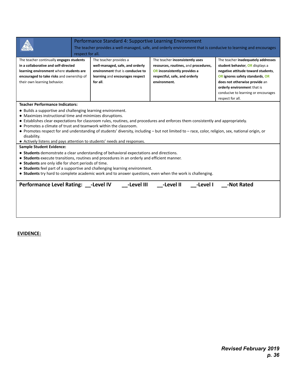|                                                                                                                                                                                                                                                                                                                                                                                                                                                                                                                                                                                                                           | Performance Standard 4: Supportive Learning Environment<br>respect for all.                                                                                                                                                                                          | The teacher provides a well-managed, safe, and orderly environment that is conducive to learning and encourages                                          |                                                                                                                                                                                                                                                                           |  |
|---------------------------------------------------------------------------------------------------------------------------------------------------------------------------------------------------------------------------------------------------------------------------------------------------------------------------------------------------------------------------------------------------------------------------------------------------------------------------------------------------------------------------------------------------------------------------------------------------------------------------|----------------------------------------------------------------------------------------------------------------------------------------------------------------------------------------------------------------------------------------------------------------------|----------------------------------------------------------------------------------------------------------------------------------------------------------|---------------------------------------------------------------------------------------------------------------------------------------------------------------------------------------------------------------------------------------------------------------------------|--|
| The teacher continually engages students<br>in a collaborative and self-directed<br>learning environment where students are<br>encouraged to take risks and ownership of<br>their own learning behavior.                                                                                                                                                                                                                                                                                                                                                                                                                  | The teacher provides a<br>well-managed, safe, and orderly<br>environment that is conducive to<br>learning and encourages respect<br>for all.                                                                                                                         | The teacher inconsistently uses<br>resources, routines, and procedures,<br>OR inconsistently provides a<br>respectful, safe, and orderly<br>environment. | The teacher inadequately addresses<br>student behavior, OR displays a<br>negative attitude toward students,<br>OR ignores safety standards, OR<br>does not otherwise provide an<br>orderly environment that is<br>conducive to learning or encourages<br>respect for all. |  |
| <b>Teacher Performance Indicators:</b><br>• Builds a supportive and challenging learning environment.<br>• Maximizes instructional time and minimizes disruptions.<br>• Establishes clear expectations for classroom rules, routines, and procedures and enforces them consistently and appropriately.<br>• Promotes a climate of trust and teamwork within the classroom.<br>• Promotes respect for and understanding of students' diversity, including – but not limited to – race, color, religion, sex, national origin, or<br>disability.<br>• Actively listens and pays attention to students' needs and responses. |                                                                                                                                                                                                                                                                      |                                                                                                                                                          |                                                                                                                                                                                                                                                                           |  |
| <b>Sample Student Evidence:</b><br>• Students are only idle for short periods of time.                                                                                                                                                                                                                                                                                                                                                                                                                                                                                                                                    | • Students demonstrate a clear understanding of behavioral expectations and directions.<br>• Students execute transitions, routines and procedures in an orderly and efficient manner.<br>• Students feel part of a supportive and challenging learning environment. | • Students try hard to complete academic work and to answer questions, even when the work is challenging.                                                |                                                                                                                                                                                                                                                                           |  |
| Performance Level Rating: __-Level IV                                                                                                                                                                                                                                                                                                                                                                                                                                                                                                                                                                                     | -Level III                                                                                                                                                                                                                                                           | -Level II<br>-Level I                                                                                                                                    | -Not Rated                                                                                                                                                                                                                                                                |  |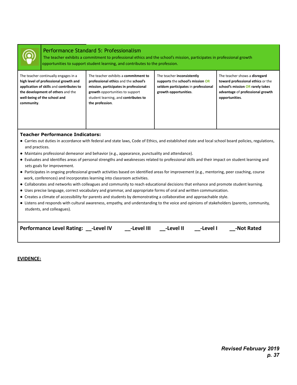

#### Performance Standard 5: Professionalism

The teacher exhibits a commitment to professional ethics and the school's mission, participates in professional growth opportunities to support student learning, and contributes to the profession.

| The teacher continually engages in a<br>high level of professional growth and<br>application of skills and contributes to<br>the development of others and the<br>well-being of the school and<br>community. | The teacher exhibits a commitment to<br>professional ethics and the school's<br>mission, participates in professional<br>growth opportunities to support<br>student learning, and contributes to<br>the profession. | The teacher inconsistently<br>supports the school's mission OR<br>seldom participates in professional<br>growth opportunities. | The teacher shows a disregard<br>toward professional ethics or the<br>school's mission OR rarely takes<br>advantage of professional growth<br>opportunities. |
|--------------------------------------------------------------------------------------------------------------------------------------------------------------------------------------------------------------|---------------------------------------------------------------------------------------------------------------------------------------------------------------------------------------------------------------------|--------------------------------------------------------------------------------------------------------------------------------|--------------------------------------------------------------------------------------------------------------------------------------------------------------|
|                                                                                                                                                                                                              |                                                                                                                                                                                                                     |                                                                                                                                |                                                                                                                                                              |

#### **Teacher Performance Indicators:**

- Carries out duties in accordance with federal and state laws, Code of Ethics, and established state and local school board policies, regulations, and practices.
- Maintains professional demeanor and behavior (e.g., appearance, punctuality and attendance).
- Evaluates and identifies areas of personal strengths and weaknesses related to professional skills and their impact on student learning and sets goals for improvement.
- Participates in ongoing professional growth activities based on identified areas for improvement (e.g., mentoring, peer coaching, course work, conferences) and incorporates learning into classroom activities.
- Collaborates and networks with colleagues and community to reach educational decisions that enhance and promote student learning.
- Uses precise language, correct vocabulary and grammar, and appropriate forms of oral and written communication.
- Creates a climate of accessibility for parents and students by demonstrating a collaborative and approachable style.
- Listens and responds with cultural awareness, empathy, and understanding to the voice and opinions of stakeholders (parents, community, students, and colleagues).

| Performance Level Rating: -Level IV | -Level III | -Level II | -Level I | -Not Rated |  |
|-------------------------------------|------------|-----------|----------|------------|--|
|                                     |            |           |          |            |  |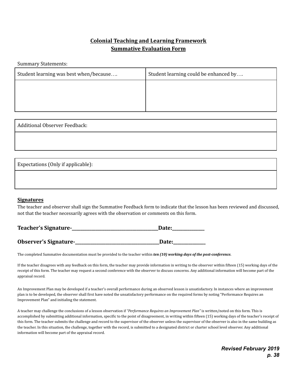## **Colonial Teaching and Learning Framework Summative Evaluation Form**

Summary Statements:

| Student learning was best when/because | Student learning could be enhanced by |
|----------------------------------------|---------------------------------------|
|                                        |                                       |
|                                        |                                       |
|                                        |                                       |

| Additional Observer Feedback:      |  |
|------------------------------------|--|
|                                    |  |
|                                    |  |
| Expectations (Only if applicable): |  |

#### **Signatures**

The teacher and observer shall sign the Summative Feedback form to indicate that the lesson has been reviewed and discussed, not that the teacher necessarily agrees with the observation or comments on this form.

| Teacher's Signature-  | Date: |  |  |
|-----------------------|-------|--|--|
|                       |       |  |  |
| Observer's Signature- | Date: |  |  |

The completed Summative documentation must be provided to the teacher within *ten (10) working days of the post-conference.*

If the teacher disagrees with any feedback on this form, the teacher may provide information in writing to the observer within fifteen (15) working days of the receipt of this form. The teacher may request a second conference with the observer to discuss concerns. Any additional information will become part of the appraisal record.

An Improvement Plan may be developed if a teacher's overall performance during an observed lesson is unsatisfactory. In instances where an improvement plan is to be developed, the observer shall first have noted the unsatisfactory performance on the required forms by noting "Performance Requires an Improvement Plan" and initialing the statement.

A teacher may challenge the conclusions of a lesson observation if *"Performance Requires an Improvement Plan"* is written/noted on this form. This is accomplished by submitting additional information, specific to the point of disagreement, in writing within fifteen (15) working days of the teacher's receipt of this form. The teacher submits the challenge and record to the supervisor of the observer unless the supervisor of the observer is also in the same building as the teacher. In this situation, the challenge, together with the record, is submitted to a designated district or charter school level observer. Any additional information will become part of the appraisal record.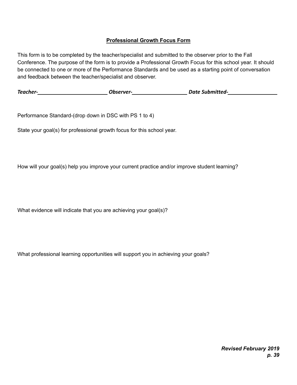#### **Professional Growth Focus Form**

<span id="page-39-0"></span>This form is to be completed by the teacher/specialist and submitted to the observer prior to the Fall Conference. The purpose of the form is to provide a Professional Growth Focus for this school year. It should be connected to one or more of the Performance Standards and be used as a starting point of conversation and feedback between the teacher/specialist and observer.

*Teacher-\_\_\_\_\_\_\_\_\_\_\_\_\_\_\_\_\_\_\_\_\_\_\_\_ Observer-\_\_\_\_\_\_\_\_\_\_\_\_\_\_\_\_\_\_\_ Date Submitted-\_\_\_\_\_\_\_\_\_\_\_\_\_\_\_\_\_*

Performance Standard-(drop down in DSC with PS 1 to 4)

State your goal(s) for professional growth focus for this school year.

How will your goal(s) help you improve your current practice and/or improve student learning?

What evidence will indicate that you are achieving your goal(s)?

What professional learning opportunities will support you in achieving your goals?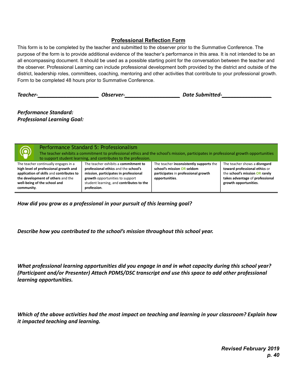#### **Professional Reflection Form**

<span id="page-40-0"></span>This form is to be completed by the teacher and submitted to the observer prior to the Summative Conference. The purpose of the form is to provide additional evidence of the teacher's performance in this area. It is not intended to be an all encompassing document. It should be used as a possible starting point for the conversation between the teacher and the observer. Professional Learning can include professional development both provided by the district and outside of the district, leadership roles, committees, coaching, mentoring and other activities that contribute to your professional growth. Form to be completed 48 hours prior to Summative Conference.

| Teacher- | <i>Observer-</i> | <b>Date Submitted-</b> |
|----------|------------------|------------------------|
|----------|------------------|------------------------|

*Performance Standard: Professional Learning Goal:*

| $\circledcirc$                                                                                                                                                                                               | Performance Standard 5: Professionalism<br>The teacher exhibits a commitment to professional ethics and the school's mission, participates in professional growth opportunities<br>to support student learning, and contributes to the profession. |                                                                                                                                |                                                                                                                                                              |
|--------------------------------------------------------------------------------------------------------------------------------------------------------------------------------------------------------------|----------------------------------------------------------------------------------------------------------------------------------------------------------------------------------------------------------------------------------------------------|--------------------------------------------------------------------------------------------------------------------------------|--------------------------------------------------------------------------------------------------------------------------------------------------------------|
| The teacher continually engages in a<br>high level of professional growth and<br>application of skills and contributes to<br>the development of others and the<br>well-being of the school and<br>community. | The teacher exhibits a commitment to<br>professional ethics and the school's<br>mission, participates in professional<br>growth opportunities to support<br>student learning, and contributes to the<br>profession.                                | The teacher inconsistently supports the<br>school's mission OR seldom<br>participates in professional growth<br>opportunities. | The teacher shows a disregard<br>toward professional ethics or<br>the school's mission OR rarely<br>takes advantage of professional<br>growth opportunities. |

*How did you grow as a professional in your pursuit of this learning goal?*

*Describe how you contributed to the school's mission throughout this school year.*

*What professional learning opportunities did you engage in and in what capacity during this school year? (Participant and/or Presenter) Attach PDMS/DSC transcript and use this space to add other professional learning opportunities.*

*Which of the above activities had the most impact on teaching and learning in your classroom? Explain how it impacted teaching and learning.*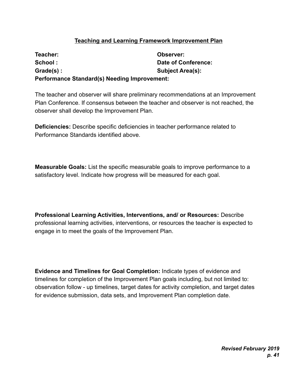## **Teaching and Learning Framework Improvement Plan**

<span id="page-41-0"></span>**Teacher: Observer: School : Date of Conference: Grade(s) : Subject Area(s): Performance Standard(s) Needing Improvement:**

The teacher and observer will share preliminary recommendations at an Improvement Plan Conference. If consensus between the teacher and observer is not reached, the observer shall develop the Improvement Plan.

**Deficiencies:** Describe specific deficiencies in teacher performance related to Performance Standards identified above.

**Measurable Goals:** List the specific measurable goals to improve performance to a satisfactory level. Indicate how progress will be measured for each goal.

**Professional Learning Activities, Interventions, and/ or Resources:** Describe professional learning activities, interventions, or resources the teacher is expected to engage in to meet the goals of the Improvement Plan.

**Evidence and Timelines for Goal Completion:** Indicate types of evidence and timelines for completion of the Improvement Plan goals including, but not limited to: observation follow - up timelines, target dates for activity completion, and target dates for evidence submission, data sets, and Improvement Plan completion date.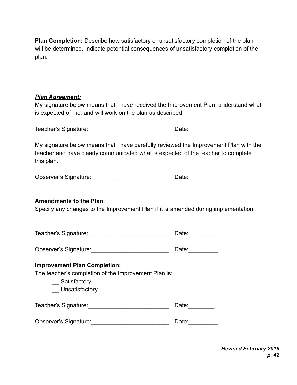**Plan Completion:** Describe how satisfactory or unsatisfactory completion of the plan will be determined. Indicate potential consequences of unsatisfactory completion of the plan.

#### *Plan Agreement:*

My signature below means that I have received the Improvement Plan, understand what is expected of me, and will work on the plan as described.

Teacher's Signature:\_\_\_\_\_\_\_\_\_\_\_\_\_\_\_\_\_\_\_\_\_\_\_\_\_ Date:\_\_\_\_\_\_\_\_

My signature below means that I have carefully reviewed the Improvement Plan with the teacher and have clearly communicated what is expected of the teacher to complete this plan.

| Observer's Signature: | Date: |
|-----------------------|-------|
|                       |       |

#### **Amendments to the Plan:**

Specify any changes to the Improvement Plan if it is amended during implementation.

| Teacher's Signature: | Date: |
|----------------------|-------|
|----------------------|-------|

|  | Observer's Signature: |  | Date: |
|--|-----------------------|--|-------|
|--|-----------------------|--|-------|

#### **Improvement Plan Completion:**

The teacher's completion of the Improvement Plan is:

\_\_-Satisfactory

\_\_-Unsatisfactory

Teacher's Signature: etc. The contract of the Date:

Observer's Signature: etc. All the Date:

*Revised February 2019 p. 42*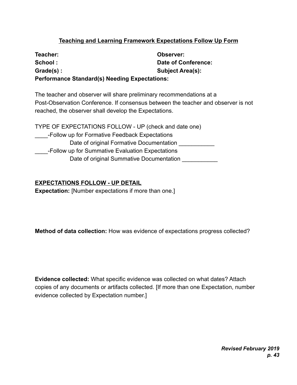## **Teaching and Learning Framework Expectations Follow Up Form**

| Teacher:                                             | Observer:                  |  |
|------------------------------------------------------|----------------------------|--|
| School:                                              | <b>Date of Conference:</b> |  |
| Grade(s):                                            | <b>Subject Area(s):</b>    |  |
| <b>Performance Standard(s) Needing Expectations:</b> |                            |  |

The teacher and observer will share preliminary recommendations at a Post-Observation Conference. If consensus between the teacher and observer is not reached, the observer shall develop the Expectations.

TYPE OF EXPECTATIONS FOLLOW - UP (check and date one) \_\_\_\_-Follow up for Formative Feedback Expectations Date of original Formative Documentation \_\_\_\_-Follow up for Summative Evaluation Expectations Date of original Summative Documentation

#### **EXPECTATIONS FOLLOW - UP DETAIL**

**Expectation:** [Number expectations if more than one.]

**Method of data collection:** How was evidence of expectations progress collected?

**Evidence collected:** What specific evidence was collected on what dates? Attach copies of any documents or artifacts collected. [If more than one Expectation, number evidence collected by Expectation number.]

> *Revised February 2019 p. 43*